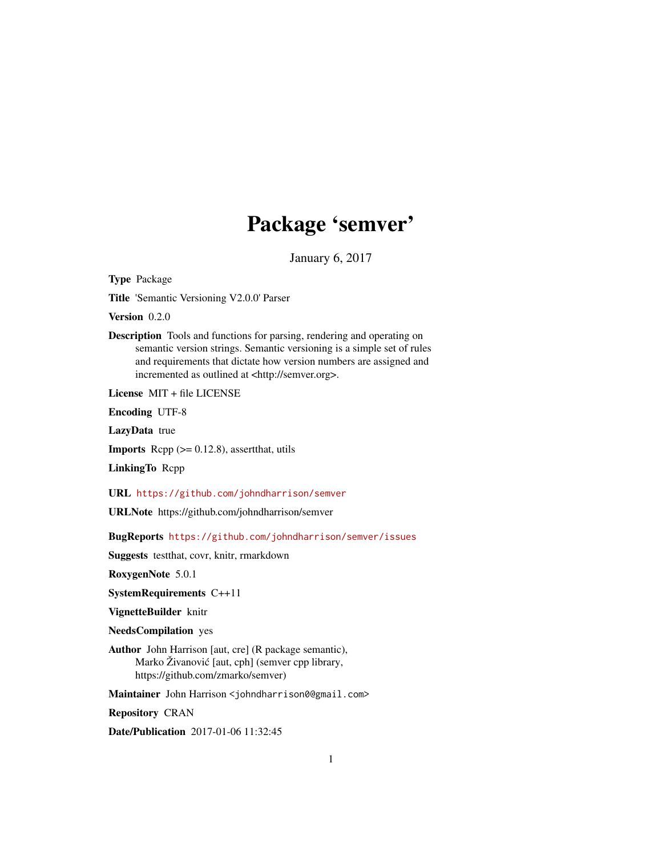## Package 'semver'

January 6, 2017

<span id="page-0-0"></span>Type Package

Title 'Semantic Versioning V2.0.0' Parser

Version 0.2.0

Description Tools and functions for parsing, rendering and operating on semantic version strings. Semantic versioning is a simple set of rules and requirements that dictate how version numbers are assigned and incremented as outlined at <http://semver.org>.

License MIT + file LICENSE

Encoding UTF-8

LazyData true

**Imports** Rcpp  $(>= 0.12.8)$ , assert that, utils

LinkingTo Rcpp

URL <https://github.com/johndharrison/semver>

URLNote https://github.com/johndharrison/semver

BugReports <https://github.com/johndharrison/semver/issues>

Suggests testthat, covr, knitr, rmarkdown

RoxygenNote 5.0.1

SystemRequirements C++11

VignetteBuilder knitr

NeedsCompilation yes

Author John Harrison [aut, cre] (R package semantic), Marko Živanović [aut, cph] (semver cpp library, https://github.com/zmarko/semver)

Maintainer John Harrison <johndharrison0@gmail.com>

Repository CRAN

Date/Publication 2017-01-06 11:32:45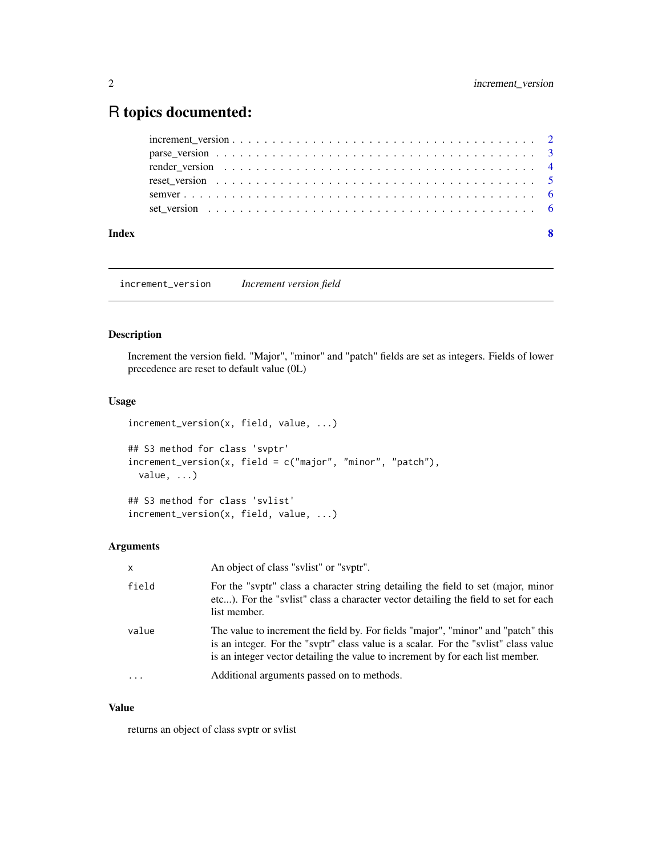### <span id="page-1-0"></span>R topics documented:

| Index |  |
|-------|--|
|       |  |
|       |  |
|       |  |
|       |  |
|       |  |
|       |  |

increment\_version *Increment version field*

#### Description

Increment the version field. "Major", "minor" and "patch" fields are set as integers. Fields of lower precedence are reset to default value (0L)

#### Usage

```
increment_version(x, field, value, ...)
## S3 method for class 'svptr'
increment_version(x, field = c("major", "minor", "patch"),
 value, ...)
```

```
## S3 method for class 'svlist'
increment_version(x, field, value, ...)
```
#### Arguments

| $\mathsf{x}$ | An object of class "svlist" or "svptr".                                                                                                                                                                                                                     |
|--------------|-------------------------------------------------------------------------------------------------------------------------------------------------------------------------------------------------------------------------------------------------------------|
| field        | For the "svptr" class a character string detailing the field to set (major, minor<br>etc). For the "sylist" class a character vector detailing the field to set for each<br>list member.                                                                    |
| value        | The value to increment the field by. For fields "major", "minor" and "patch" this<br>is an integer. For the "svptr" class value is a scalar. For the "svlist" class value<br>is an integer vector detailing the value to increment by for each list member. |
| $\ddotsc$    | Additional arguments passed on to methods.                                                                                                                                                                                                                  |

#### Value

returns an object of class svptr or svlist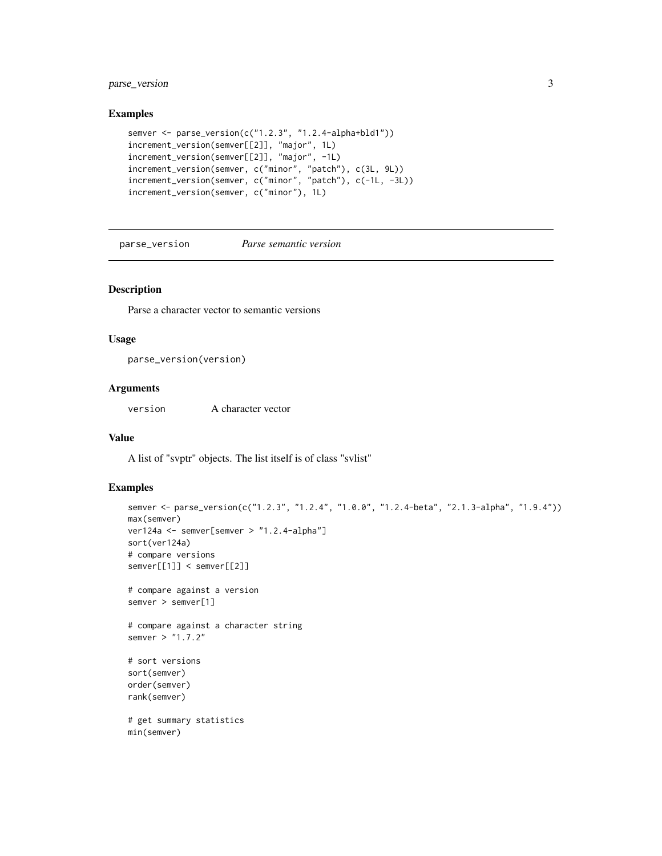#### <span id="page-2-0"></span>parse\_version 3

#### Examples

```
semver <- parse_version(c("1.2.3", "1.2.4-alpha+bld1"))
increment_version(semver[[2]], "major", 1L)
increment_version(semver[[2]], "major", -1L)
increment_version(semver, c("minor", "patch"), c(3L, 9L))
increment_version(semver, c("minor", "patch"), c(-1L, -3L))
increment_version(semver, c("minor"), 1L)
```
<span id="page-2-1"></span>parse\_version *Parse semantic version*

#### Description

Parse a character vector to semantic versions

#### Usage

parse\_version(version)

#### Arguments

version A character vector

#### Value

A list of "svptr" objects. The list itself is of class "svlist"

```
semver <- parse_version(c("1.2.3", "1.2.4", "1.0.0", "1.2.4-beta", "2.1.3-alpha", "1.9.4"))
max(semver)
ver124a <- semver[semver > "1.2.4-alpha"]
sort(ver124a)
# compare versions
semver[[1]] < semver[[2]]
# compare against a version
semver > semver[1]
# compare against a character string
semver > "1.7.2"
# sort versions
sort(semver)
order(semver)
rank(semver)
# get summary statistics
min(semver)
```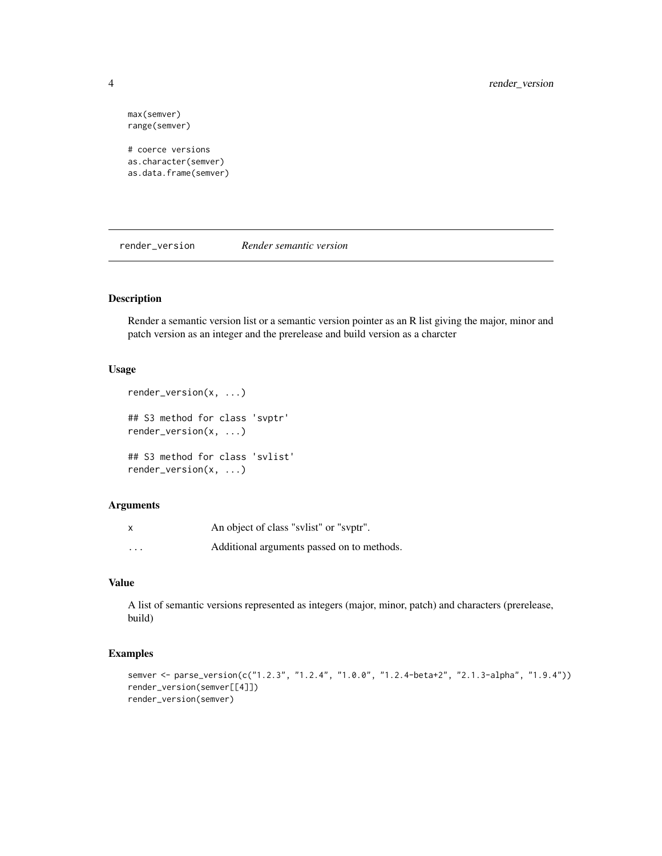max(semver) range(semver)

# coerce versions as.character(semver) as.data.frame(semver)

<span id="page-3-1"></span>render\_version *Render semantic version*

#### Description

Render a semantic version list or a semantic version pointer as an R list giving the major, minor and patch version as an integer and the prerelease and build version as a charcter

#### Usage

```
render_version(x, ...)
## S3 method for class 'svptr'
render_version(x, ...)
## S3 method for class 'svlist'
render_version(x, ...)
```
#### Arguments

|                         | An object of class "sylist" or "syptr".    |
|-------------------------|--------------------------------------------|
| $\cdot$ $\cdot$ $\cdot$ | Additional arguments passed on to methods. |

#### Value

A list of semantic versions represented as integers (major, minor, patch) and characters (prerelease, build)

```
semver <- parse_version(c("1.2.3", "1.2.4", "1.0.0", "1.2.4-beta+2", "2.1.3-alpha", "1.9.4"))
render_version(semver[[4]])
render_version(semver)
```
<span id="page-3-0"></span>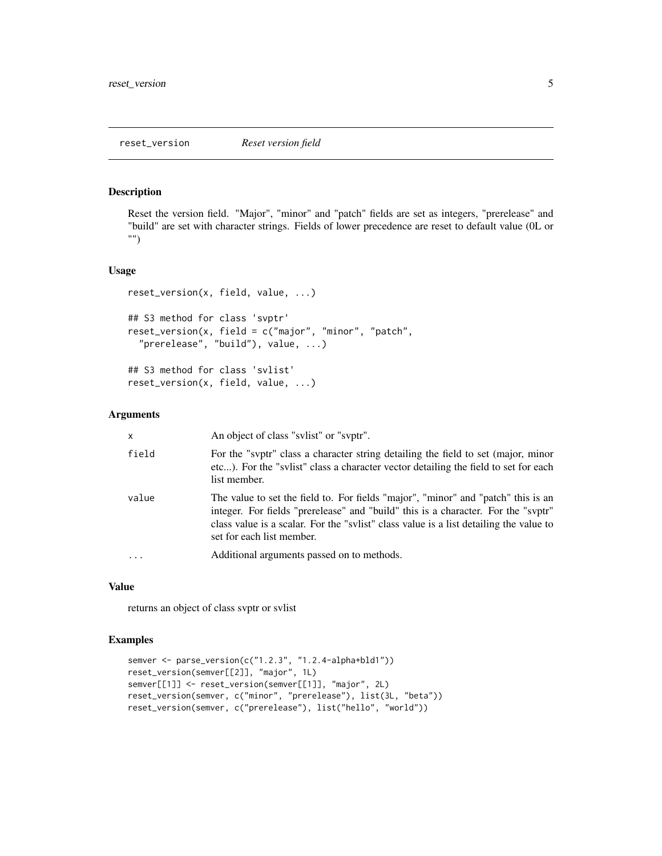#### <span id="page-4-0"></span>Description

Reset the version field. "Major", "minor" and "patch" fields are set as integers, "prerelease" and "build" are set with character strings. Fields of lower precedence are reset to default value (0L or "")

#### Usage

```
reset_version(x, field, value, ...)
## S3 method for class 'svptr'
reset_version(x, field = c("major", "minor", "patch",
  "prerelease", "build"), value, ...)
## S3 method for class 'svlist'
reset_version(x, field, value, ...)
```
#### Arguments

| X.       | An object of class "svlist" or "svptr".                                                                                                                                                                                                                                                       |
|----------|-----------------------------------------------------------------------------------------------------------------------------------------------------------------------------------------------------------------------------------------------------------------------------------------------|
| field    | For the "svptr" class a character string detailing the field to set (major, minor<br>etc). For the "svlist" class a character vector detailing the field to set for each<br>list member.                                                                                                      |
| value    | The value to set the field to. For fields "major", "minor" and "patch" this is an<br>integer. For fields "prerelease" and "build" this is a character. For the "svptr"<br>class value is a scalar. For the "svlist" class value is a list detailing the value to<br>set for each list member. |
| $\cdots$ | Additional arguments passed on to methods.                                                                                                                                                                                                                                                    |

#### Value

returns an object of class svptr or svlist

```
semver <- parse_version(c("1.2.3", "1.2.4-alpha+bld1"))
reset_version(semver[[2]], "major", 1L)
semver[[1]] <- reset_version(semver[[1]], "major", 2L)
reset_version(semver, c("minor", "prerelease"), list(3L, "beta"))
reset_version(semver, c("prerelease"), list("hello", "world"))
```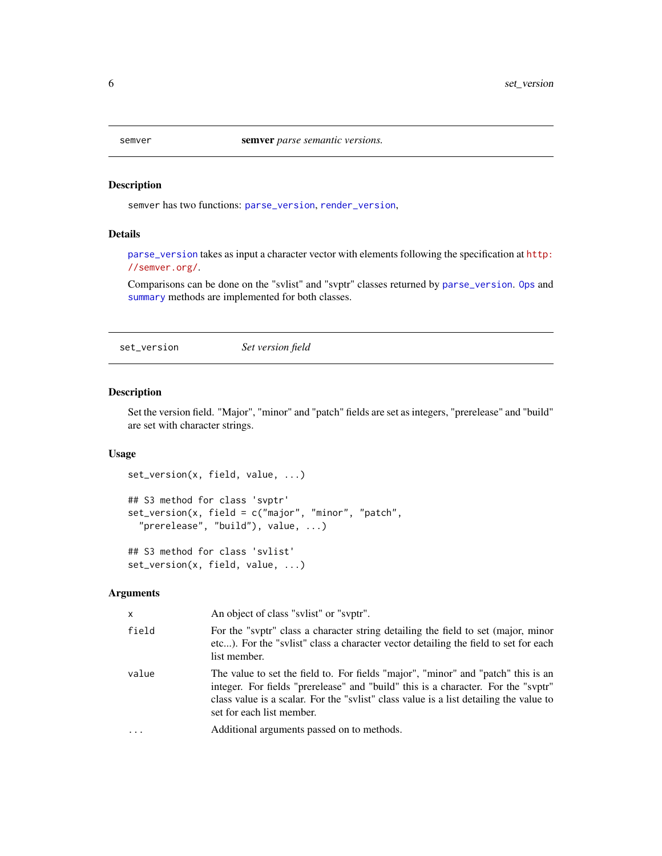#### <span id="page-5-0"></span>Description

semver has two functions: [parse\\_version](#page-2-1), [render\\_version](#page-3-1),

#### Details

[parse\\_version](#page-2-1) takes as input a character vector with elements following the specification at [http:](http://semver.org/) [//semver.org/](http://semver.org/).

Comparisons can be done on the "svlist" and "svptr" classes returned by [parse\\_version](#page-2-1). [Ops](#page-0-0) and [summary](#page-0-0) methods are implemented for both classes.

set\_version *Set version field*

#### Description

Set the version field. "Major", "minor" and "patch" fields are set as integers, "prerelease" and "build" are set with character strings.

#### Usage

```
set_version(x, field, value, ...)
## S3 method for class 'svptr'
set_version(x, field = c("major", "minor", "patch",
  "prerelease", "build"), value, ...)
## S3 method for class 'svlist'
```
set\_version(x, field, value, ...)

#### Arguments

| $\times$   | An object of class "svlist" or "svptr".                                                                                                                                                                                                                                                       |
|------------|-----------------------------------------------------------------------------------------------------------------------------------------------------------------------------------------------------------------------------------------------------------------------------------------------|
| field      | For the "svptr" class a character string detailing the field to set (major, minor<br>etc). For the "svlist" class a character vector detailing the field to set for each<br>list member.                                                                                                      |
| value      | The value to set the field to. For fields "major", "minor" and "patch" this is an<br>integer. For fields "prerelease" and "build" this is a character. For the "svptr"<br>class value is a scalar. For the "svlist" class value is a list detailing the value to<br>set for each list member. |
| $\ddots$ . | Additional arguments passed on to methods.                                                                                                                                                                                                                                                    |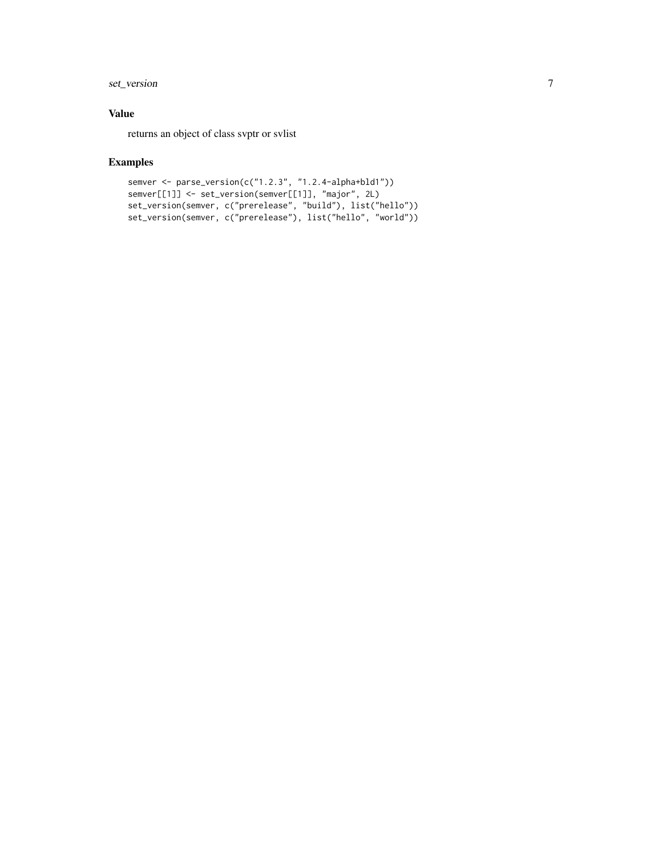#### set\_version 7

#### Value

returns an object of class svptr or svlist

```
semver <- parse_version(c("1.2.3", "1.2.4-alpha+bld1"))
semver[[1]] <- set_version(semver[[1]], "major", 2L)
set_version(semver, c("prerelease", "build"), list("hello"))
set_version(semver, c("prerelease"), list("hello", "world"))
```